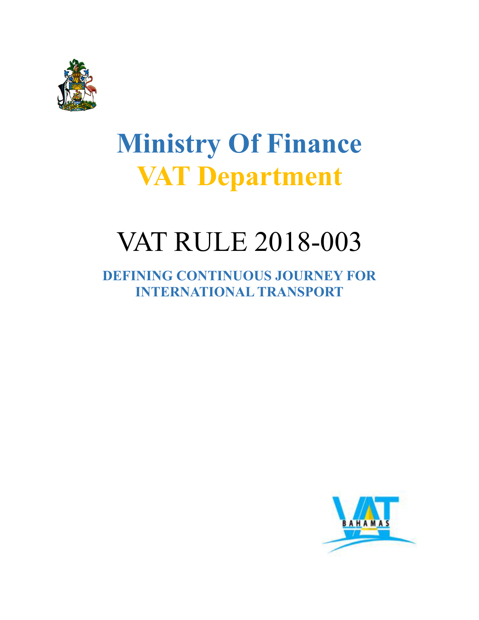

# **Ministry Of Finance VAT Department**

# VAT RULE 2018-003

**DEFINING CONTINUOUS JOURNEY FOR INTERNATIONAL TRANSPORT**

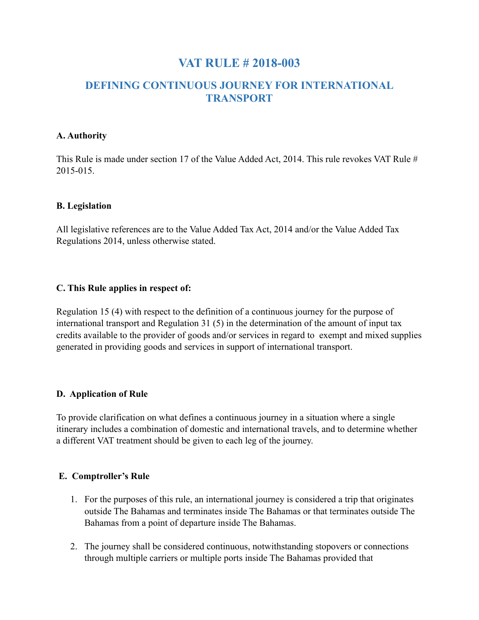### **VAT RULE # 2018-003**

### **DEFINING CONTINUOUS JOURNEY FOR INTERNATIONAL TRANSPORT**

#### **A. Authority**

This Rule is made under section 17 of the Value Added Act, 2014. This rule revokes VAT Rule # 2015-015.

#### **B. Legislation**

All legislative references are to the Value Added Tax Act, 2014 and/or the Value Added Tax Regulations 2014, unless otherwise stated.

#### **C. This Rule applies in respect of:**

Regulation 15 (4) with respect to the definition of a continuous journey for the purpose of international transport and Regulation 31 (5) in the determination of the amount of input tax credits available to the provider of goods and/or services in regard to exempt and mixed supplies generated in providing goods and services in support of international transport.

#### **D. Application of Rule**

To provide clarification on what defines a continuous journey in a situation where a single itinerary includes a combination of domestic and international travels, and to determine whether a different VAT treatment should be given to each leg of the journey.

#### **E. Comptroller's Rule**

- 1. For the purposes of this rule, an international journey is considered a trip that originates outside The Bahamas and terminates inside The Bahamas or that terminates outside The Bahamas from a point of departure inside The Bahamas.
- 2. The journey shall be considered continuous, notwithstanding stopovers or connections through multiple carriers or multiple ports inside The Bahamas provided that